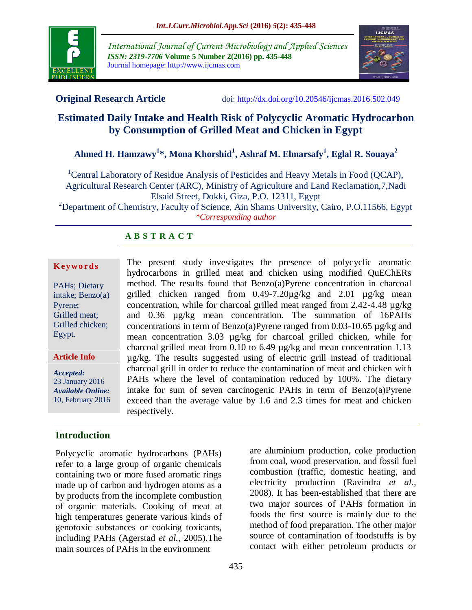

*International Journal of Current Microbiology and Applied Sciences ISSN: 2319-7706* **Volume 5 Number 2(2016) pp. 435-448** Journal homepage: http://www.ijcmas.com



**Original Research Article** doi: [http://dx.doi.org/10.20546/ijcmas.2016.502.049](http://dx.doi.org/10.20546/ijcmas.2016.501.049)

# **Estimated Daily Intake and Health Risk of Polycyclic Aromatic Hydrocarbon by Consumption of Grilled Meat and Chicken in Egypt**

# **Ahmed H. Hamzawy<sup>1</sup> \*, Mona Khorshid<sup>1</sup> , Ashraf M. Elmarsafy<sup>1</sup> , Eglal R. Souaya<sup>2</sup>**

<sup>1</sup>Central Laboratory of Residue Analysis of Pesticides and Heavy Metals in Food (QCAP), Agricultural Research Center (ARC), Ministry of Agriculture and Land Reclamation,7,Nadi Elsaid Street, Dokki, Giza, P.O. 12311, Egypt

<sup>2</sup>Department of Chemistry, Faculty of Science, Ain Shams University, Cairo, P.O.11566, Egypt *\*Corresponding author*

## **A B S T R A C T**

#### **K ey w o rd s**

PAHs; Dietary intake; Benzo(a) Pyrene; Grilled meat; Grilled chicken; Egypt.

**Article Info**

*Accepted:*  23 January 2016 *Available Online:* 10, February 2016

## **Introduction**

Polycyclic aromatic hydrocarbons (PAHs) refer to a large group of organic chemicals containing two or more fused aromatic rings made up of carbon and hydrogen atoms as a by products from the incomplete combustion of organic materials. Cooking of meat at high temperatures generate various kinds of genotoxic substances or cooking toxicants, including PAHs (Agerstad *et al.,* 2005).The main sources of PAHs in the environment

The present study investigates the presence of polycyclic aromatic hydrocarbons in grilled meat and chicken using modified QuEChERs method. The results found that Benzo(a)Pyrene concentration in charcoal grilled chicken ranged from 0.49-7.20µg/kg and 2.01 µg/kg mean concentration, while for charcoal grilled meat ranged from 2.42-4.48 µg/kg and 0.36 µg/kg mean concentration. The summation of 16PAHs concentrations in term of Benzo(a)Pyrene ranged from  $0.03$ -10.65  $\mu$ g/kg and mean concentration 3.03 µg/kg for charcoal grilled chicken, while for charcoal grilled meat from 0.10 to 6.49 µg/kg and mean concentration 1.13 µg/kg. The results suggested using of electric grill instead of traditional charcoal grill in order to reduce the contamination of meat and chicken with PAHs where the level of contamination reduced by 100%. The dietary intake for sum of seven carcinogenic PAHs in term of Benzo(a)Pyrene exceed than the average value by 1.6 and 2.3 times for meat and chicken respectively.

> are aluminium production, coke production from coal, wood preservation, and fossil fuel combustion (traffic, domestic heating, and electricity production (Ravindra *et al.,* 2008). It has been-established that there are two major sources of PAHs formation in foods the first source is mainly due to the method of food preparation. The other major source of contamination of foodstuffs is by contact with either petroleum products or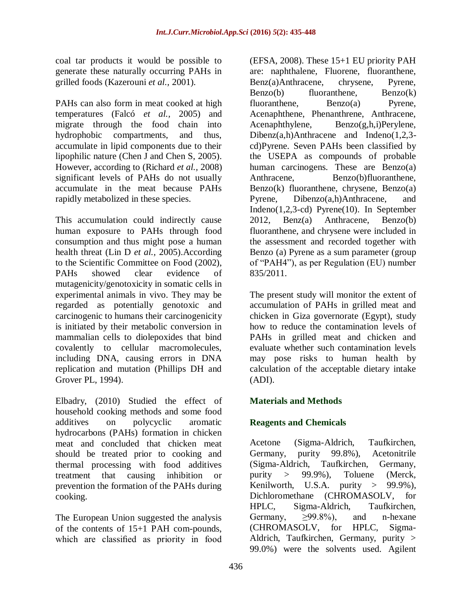coal tar products it would be possible to generate these naturally occurring PAHs in grilled foods (Kazerouni *et al.,* 2001).

PAHs can also form in meat cooked at high temperatures (Falcó *et al.,* 2005) and migrate through the food chain into hydrophobic compartments, and thus, accumulate in lipid components due to their lipophilic nature (Chen J and Chen S, 2005). However, according to (Richard *et al.,* 2008) significant levels of PAHs do not usually accumulate in the meat because PAHs rapidly metabolized in these species.

This accumulation could indirectly cause human exposure to PAHs through food consumption and thus might pose a human health threat (Lin D *et al.,* 2005).According to the Scientific Committee on Food (2002), PAHs showed clear evidence of mutagenicity/genotoxicity in somatic cells in experimental animals in vivo. They may be regarded as potentially genotoxic and carcinogenic to humans their carcinogenicity is initiated by their metabolic conversion in mammalian cells to diolepoxides that bind covalently to cellular macromolecules, including DNA, causing errors in DNA replication and mutation (Phillips DH and Grover PL, 1994).

Elbadry, (2010) Studied the effect of household cooking methods and some food additives on polycyclic aromatic hydrocarbons (PAHs) formation in chicken meat and concluded that chicken meat should be treated prior to cooking and thermal processing with food additives treatment that causing inhibition or prevention the formation of the PAHs during cooking.

The European Union suggested the analysis of the contents of 15+1 PAH com-pounds, which are classified as priority in food (EFSA, 2008). These 15+1 EU priority PAH are: naphthalene, Fluorene, fluoranthene, Benz(a)Anthracene, chrysene, Pyrene, Benzo(b) fluoranthene, Benzo(k) fluoranthene, Benzo(a) Pyrene, Acenaphthene, Phenanthrene, Anthracene, Acenaphthylene, Benzo(g,h,i)Perylene, Dibenz(a,h)Anthracene and Indeno(1,2,3 cd)Pyrene. Seven PAHs been classified by the USEPA as compounds of probable human carcinogens. These are Benzo(a) Anthracene, Benzo(b)fluoranthene, Benzo(k) fluoranthene, chrysene, Benzo(a) Pyrene, Dibenzo(a,h)Anthracene, and Indeno(1,2,3-cd) Pyrene(10). In September 2012, Benz(a) Anthracene, Benzo(b) fluoranthene, and chrysene were included in the assessment and recorded together with Benzo (a) Pyrene as a sum parameter (group of "PAH4"), as per Regulation (EU) number 835/2011.

The present study will monitor the extent of accumulation of PAHs in grilled meat and chicken in Giza governorate (Egypt), study how to reduce the contamination levels of PAHs in grilled meat and chicken and evaluate whether such contamination levels may pose risks to human health by calculation of the acceptable dietary intake (ADI).

## **Materials and Methods**

## **Reagents and Chemicals**

Acetone (Sigma-Aldrich, Taufkirchen, Germany, purity 99.8%), Acetonitrile (Sigma-Aldrich, Taufkirchen, Germany, purity > 99.9%), Toluene (Merck, Kenilworth, U.S.A. purity  $> 99.9\%$ ), Dichloromethane (CHROMASOLV, for HPLC, Sigma-Aldrich, Taufkirchen, Germany,  $\geq$ 99.8%), and n-hexane (CHROMASOLV, for HPLC, Sigma-Aldrich, Taufkirchen, Germany, purity > 99.0%) were the solvents used. Agilent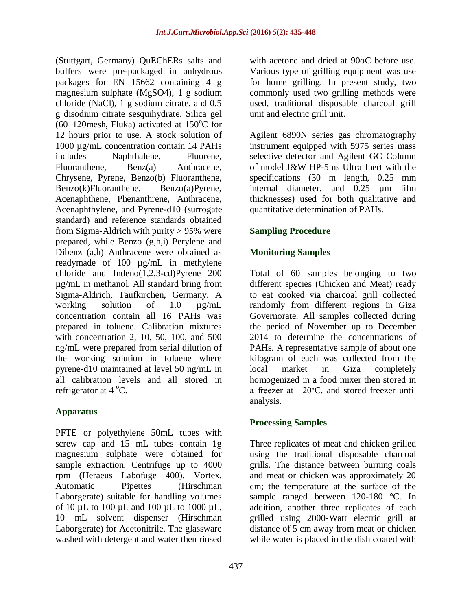(Stuttgart, Germany) QuEChERs salts and buffers were pre-packaged in anhydrous packages for EN 15662 containing 4 g magnesium sulphate (MgSO4), 1 g sodium chloride (NaCl), 1 g sodium citrate, and 0.5 g disodium citrate sesquihydrate. Silica gel  $(60-120$ mesh, Fluka) activated at  $150^{\circ}$ C for 12 hours prior to use. A stock solution of 1000 µg/mL concentration contain 14 PAHs includes Naphthalene, Fluorene, Fluoranthene, Benz(a) Anthracene, Chrysene, Pyrene, Benzo(b) Fluoranthene, Benzo(k)Fluoranthene, Benzo(a)Pyrene, Acenaphthene, Phenanthrene, Anthracene, Acenaphthylene, and Pyrene-d10 (surrogate standard) and reference standards obtained from Sigma-Aldrich with purity > 95% were prepared, while Benzo (g,h,i) Perylene and Dibenz (a,h) Anthracene were obtained as readymade of 100 µg/mL in methylene chloride and Indeno(1,2,3-cd)Pyrene 200 µg/mL in methanol. All standard bring from Sigma-Aldrich, Taufkirchen, Germany. A working solution of 1.0  $\mu$ g/mL concentration contain all 16 PAHs was prepared in toluene. Calibration mixtures with concentration 2, 10, 50, 100, and 500 ng/mL were prepared from serial dilution of the working solution in toluene where pyrene-d10 maintained at level 50 ng/mL in all calibration levels and all stored in refrigerator at  $4^{\circ}$ C.

## **Apparatus**

PFTE or polyethylene 50mL tubes with screw cap and 15 mL tubes contain 1g magnesium sulphate were obtained for sample extraction. Centrifuge up to 4000 rpm (Heraeus Labofuge 400), Vortex, Automatic Pipettes (Hirschman Laborgerate) suitable for handling volumes of 10 µL to 100 µL and 100 µL to 1000 µL, 10 mL solvent dispenser (Hirschman Laborgerate) for Acetonitrile. The glassware washed with detergent and water then rinsed

with acetone and dried at 90oC before use. Various type of grilling equipment was use for home grilling. In present study, two commonly used two grilling methods were used, traditional disposable charcoal grill unit and electric grill unit.

Agilent 6890N series gas chromatography instrument equipped with 5975 series mass selective detector and Agilent GC Column of model J&W HP-5ms Ultra Inert with the specifications (30 m length, 0.25 mm internal diameter, and 0.25 µm film thicknesses) used for both qualitative and quantitative determination of PAHs.

# **Sampling Procedure**

## **Monitoring Samples**

Total of 60 samples belonging to two different species (Chicken and Meat) ready to eat cooked via charcoal grill collected randomly from different regions in Giza Governorate. All samples collected during the period of November up to December 2014 to determine the concentrations of PAHs. A representative sample of about one kilogram of each was collected from the local market in Giza completely homogenized in a food mixer then stored in a freezer at −20∘C. and stored freezer until analysis.

### **Processing Samples**

Three replicates of meat and chicken grilled using the traditional disposable charcoal grills. The distance between burning coals and meat or chicken was approximately 20 cm; the temperature at the surface of the sample ranged between 120-180 °C. In addition, another three replicates of each grilled using 2000-Watt electric grill at distance of 5 cm away from meat or chicken while water is placed in the dish coated with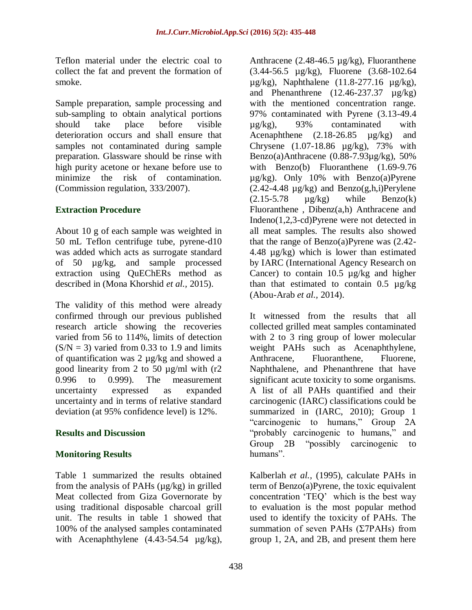Teflon material under the electric coal to collect the fat and prevent the formation of smoke.

Sample preparation, sample processing and sub-sampling to obtain analytical portions should take place before visible deterioration occurs and shall ensure that samples not contaminated during sample preparation. Glassware should be rinse with high purity acetone or hexane before use to minimize the risk of contamination. (Commission regulation, 333/2007).

## **Extraction Procedure**

About 10 g of each sample was weighted in 50 mL Teflon centrifuge tube, pyrene-d10 was added which acts as surrogate standard of 50 µg/kg, and sample processed extraction using QuEChERs method as described in (Mona Khorshid *et al.,* 2015).

The validity of this method were already confirmed through our previous published research article showing the recoveries varied from 56 to 114%, limits of detection  $(S/N = 3)$  varied from 0.33 to 1.9 and limits of quantification was  $2 \mu g/kg$  and showed a good linearity from 2 to 50 µg/ml with (r2 0.996 to 0.999). The measurement uncertainty expressed as expanded uncertainty and in terms of relative standard deviation (at 95% confidence level) is 12%.

### **Results and Discussion**

## **Monitoring Results**

Table 1 summarized the results obtained from the analysis of PAHs  $(\mu g/kg)$  in grilled Meat collected from Giza Governorate by using traditional disposable charcoal grill unit. The results in table 1 showed that 100% of the analysed samples contaminated with Acenaphthylene  $(4.43-54.54 \text{ µg/kg})$ ,

Anthracene (2.48-46.5 µg/kg), Fluoranthene (3.44-56.5 µg/kg), Fluorene (3.68-102.64 µg/kg), Naphthalene (11.8-277.16 µg/kg), and Phenanthrene  $(12.46-237.37 \text{ }\mu\text{g/kg})$ with the mentioned concentration range. 97% contaminated with Pyrene (3.13-49.4 µg/kg), 93% contaminated with Acenaphthene (2.18-26.85 µg/kg) and Chrysene (1.07-18.86 µg/kg), 73% with Benzo(a)Anthracene (0.88-7.93µg/kg), 50% with Benzo(b) Fluoranthene (1.69-9.76) µg/kg). Only 10% with Benzo(a)Pyrene  $(2.42-4.48 \mu g/kg)$  and Benzo $(g,h,i)$ Perylene  $(2.15-5.78 \quad \mu g/kg)$  while Benzo(k) Fluoranthene , Dibenz(a,h) Anthracene and Indeno(1,2,3-cd)Pyrene were not detected in all meat samples. The results also showed that the range of Benzo(a)Pyrene was (2.42- 4.48 µg/kg) which is lower than estimated by IARC (International Agency Research on Cancer) to contain  $10.5 \mu g/kg$  and higher than that estimated to contain  $0.5 \mu g/kg$ (Abou-Arab *et al.,* 2014).

It witnessed from the results that all collected grilled meat samples contaminated with 2 to 3 ring group of lower molecular weight PAHs such as Acenaphthylene, Anthracene, Fluoranthene, Fluorene, Naphthalene, and Phenanthrene that have significant acute toxicity to some organisms. A list of all PAHs quantified and their carcinogenic (IARC) classifications could be summarized in (IARC, 2010); Group 1 "carcinogenic to humans," Group 2A "probably carcinogenic to humans," and Group 2B "possibly carcinogenic to humans".

Kalberlah *et al.,* (1995), calculate PAHs in term of Benzo(a)Pyrene, the toxic equivalent concentration "TEQ" which is the best way to evaluation is the most popular method used to identify the toxicity of PAHs. The summation of seven PAHs (Σ7PAHs) from group 1, 2A, and 2B, and present them here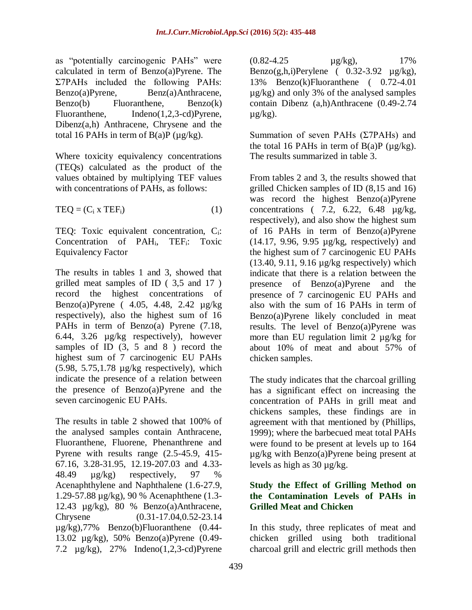as "potentially carcinogenic PAHs" were calculated in term of Benzo(a)Pyrene. The Σ7PAHs included the following PAHs: Benzo(a)Pyrene, Benz(a)Anthracene, Benzo(b) Fluoranthene, Benzo(k) Fluoranthene, Indeno(1,2,3-cd)Pyrene, Dibenz(a,h) Anthracene, Chrysene and the total 16 PAHs in term of  $B(a)P(\mu g/kg)$ .

Where toxicity equivalency concentrations (TEQs) calculated as the product of the values obtained by multiplying TEF values with concentrations of PAHs, as follows:

$$
TEQ = (C_i \times TEF_i)
$$
 (1)

TEQ: Toxic equivalent concentration, Ci: Concentration of PAH<sub>i</sub>, TEF<sub>i</sub>: Toxic Equivalency Factor

The results in tables 1 and 3, showed that grilled meat samples of ID ( 3,5 and 17 ) record the highest concentrations of Benzo(a)Pyrene ( 4.05, 4.48, 2.42 µg/kg respectively), also the highest sum of 16 PAHs in term of Benzo(a) Pyrene (7.18, 6.44, 3.26 µg/kg respectively), however samples of ID  $(3, 5, and 8)$  record the highest sum of 7 carcinogenic EU PAHs (5.98, 5.75,1.78 µg/kg respectively), which indicate the presence of a relation between the presence of Benzo(a)Pyrene and the seven carcinogenic EU PAHs.

The results in table 2 showed that 100% of the analysed samples contain Anthracene, Fluoranthene, Fluorene, Phenanthrene and Pyrene with results range (2.5-45.9, 415- 67.16, 3.28-31.95, 12.19-207.03 and 4.33- 48.49 µg/kg) respectively, 97 % Acenaphthylene and Naphthalene (1.6-27.9, 1.29-57.88 µg/kg), 90 % Acenaphthene (1.3- 12.43  $\mu$ g/kg), 80 % Benzo(a)Anthracene, Chrysene (0.31-17.04,0.52-23.14 µg/kg),77% Benzo(b)Fluoranthene (0.44- 13.02 µg/kg), 50% Benzo(a)Pyrene (0.49- 7.2 µg/kg), 27% Indeno(1,2,3-cd)Pyrene

 $(0.82-4.25 \quad \mu$ g/kg), 17% Benzo(g,h,i)Perylene ( $0.32-3.92 \mu g/kg$ ), 13% Benzo(k)Fluoranthene ( 0.72-4.01 µg/kg) and only 3% of the analysed samples contain Dibenz (a,h)Anthracene (0.49-2.74  $\mu$ g/kg).

Summation of seven PAHs (Σ7PAHs) and the total 16 PAHs in term of  $B(a)P(\mu g/kg)$ . The results summarized in table 3.

From tables 2 and 3, the results showed that grilled Chicken samples of ID (8,15 and 16) was record the highest Benzo(a)Pyrene concentrations  $(7.2, 6.22, 6.48 \mu g/kg)$ respectively), and also show the highest sum of 16 PAHs in term of Benzo(a)Pyrene (14.17, 9.96, 9.95 µg/kg, respectively) and the highest sum of 7 carcinogenic EU PAHs (13.40, 9.11, 9.16 µg/kg respectively) which indicate that there is a relation between the presence of Benzo(a)Pyrene and the presence of 7 carcinogenic EU PAHs and also with the sum of 16 PAHs in term of Benzo(a)Pyrene likely concluded in meat results. The level of Benzo(a)Pyrene was more than EU regulation limit 2 µg/kg for about 10% of meat and about 57% of chicken samples.

The study indicates that the charcoal grilling has a significant effect on increasing the concentration of PAHs in grill meat and chickens samples, these findings are in agreement with that mentioned by (Phillips, 1999); where the barbecued meat total PAHs were found to be present at levels up to 164 µg/kg with Benzo(a)Pyrene being present at levels as high as 30 µg/kg.

## **Study the Effect of Grilling Method on the Contamination Levels of PAHs in Grilled Meat and Chicken**

In this study, three replicates of meat and chicken grilled using both traditional charcoal grill and electric grill methods then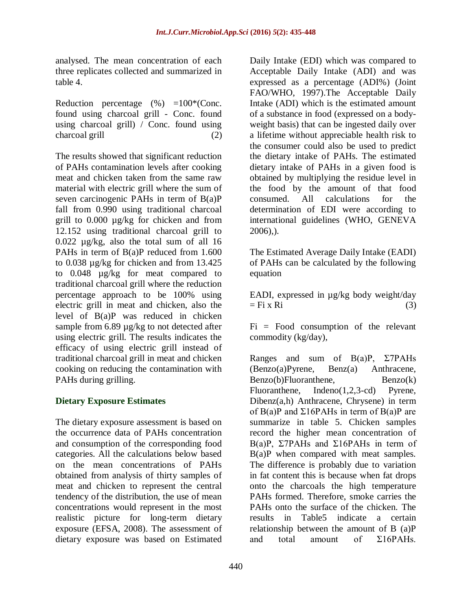analysed. The mean concentration of each three replicates collected and summarized in table 4.

Reduction percentage  $(\%) = 100*(\text{Conc.})$ found using charcoal grill - Conc. found using charcoal grill) / Conc. found using charcoal grill (2)

The results showed that significant reduction of PAHs contamination levels after cooking meat and chicken taken from the same raw material with electric grill where the sum of seven carcinogenic PAHs in term of B(a)P fall from 0.990 using traditional charcoal grill to 0.000 µg/kg for chicken and from 12.152 using traditional charcoal grill to 0.022 µg/kg, also the total sum of all 16 PAHs in term of B(a)P reduced from 1.600 to 0.038 µg/kg for chicken and from 13.425 to 0.048 µg/kg for meat compared to traditional charcoal grill where the reduction percentage approach to be 100% using electric grill in meat and chicken, also the level of B(a)P was reduced in chicken sample from 6.89 µg/kg to not detected after using electric grill. The results indicates the efficacy of using electric grill instead of traditional charcoal grill in meat and chicken cooking on reducing the contamination with PAHs during grilling.

## **Dietary Exposure Estimates**

The dietary exposure assessment is based on the occurrence data of PAHs concentration and consumption of the corresponding food categories. All the calculations below based on the mean concentrations of PAHs obtained from analysis of thirty samples of meat and chicken to represent the central tendency of the distribution, the use of mean concentrations would represent in the most realistic picture for long-term dietary exposure (EFSA, 2008). The assessment of dietary exposure was based on Estimated

Daily Intake (EDI) which was compared to Acceptable Daily Intake (ADI) and was expressed as a percentage (ADI%) (Joint FAO/WHO, 1997).The Acceptable Daily Intake (ADI) which is the estimated amount of a substance in food (expressed on a bodyweight basis) that can be ingested daily over a lifetime without appreciable health risk to the consumer could also be used to predict the dietary intake of PAHs. The estimated dietary intake of PAHs in a given food is obtained by multiplying the residue level in the food by the amount of that food consumed. All calculations for the determination of EDI were according to international guidelines (WHO, GENEVA 2006),).

The Estimated Average Daily Intake (EADI) of PAHs can be calculated by the following equation

EADI, expressed in µg/kg body weight/day  $=$  Fi x Ri (3)

Fi = Food consumption of the relevant commodity (kg/day),

Ranges and sum of  $B(a)P$ ,  $\Sigma$ 7PAHs (Benzo(a)Pyrene, Benz(a) Anthracene, Benzo(b)Fluoranthene, Benzo(k) Fluoranthene, Indeno(1,2,3-cd) Pyrene, Dibenz(a,h) Anthracene, Chrysene) in term of  $B(a)P$  and  $\Sigma16PAHs$  in term of  $B(a)P$  are summarize in table 5. Chicken samples record the higher mean concentration of B(a)P, Σ7PAHs and Σ16PAHs in term of B(a)P when compared with meat samples. The difference is probably due to variation in fat content this is because when fat drops onto the charcoals the high temperature PAHs formed. Therefore, smoke carries the PAHs onto the surface of the chicken. The results in Table5 indicate a certain relationship between the amount of B (a)P and total amount of Σ16PAHs.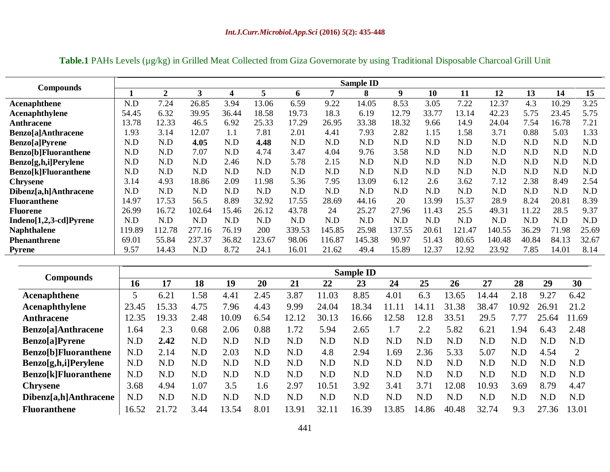|                              |        |                |        |       |        |        |        | <b>Sample ID</b> |        |       |        |        |       |       |       |
|------------------------------|--------|----------------|--------|-------|--------|--------|--------|------------------|--------|-------|--------|--------|-------|-------|-------|
| <b>Compounds</b>             |        | $\overline{2}$ | 3      | 4     | 5      | 6      | 7      | 8                | 9      | 10    | 11     | 12     | 13    | 14    | 15    |
| Acenaphthene                 | N.D    | 7.24           | 26.85  | 3.94  | 13.06  | 6.59   | 9.22   | 14.05            | 8.53   | 3.05  | 7.22   | 12.37  | 4.3   | 10.29 | 3.25  |
| <b>Acenaphthylene</b>        | 54.45  | 6.32           | 39.95  | 36.44 | 18.58  | 19.73  | 18.3   | 6.19             | 12.79  | 33.77 | 13.14  | 42.23  | 5.75  | 23.45 | 5.75  |
| Anthracene                   | 13.78  | 12.33          | 46.5   | 6.92  | 25.33  | 17.29  | 26.95  | 33.38            | 18.32  | 9.66  | 14.9   | 24.04  | 7.54  | 16.78 | 7.21  |
| <b>Benzo</b> [a]Anthracene   | .93    | 3.14           | 12.07  | 1.1   | 7.81   | 2.01   | 4.41   | 7.93             | 2.82   | 1.15  | l.58   | 3.71   | 0.88  | 5.03  | 1.33  |
| <b>Benzo</b> [a]Pyrene       | N.D    | N.D            | 4.05   | N.D   | 4.48   | N.D    | N.D    | N.D              | N.D    | N.D   | N.D    | N.D    | N.D   | N.D   | N.D   |
| <b>Benzo</b> [b]Fluoranthene | N.D    | N.D            | 7.07   | N.D   | 4.74   | 3.47   | 4.04   | 9.76             | 3.58   | N.D   | N.D    | N.D    | N.D   | N.D   | N.D   |
| Benzo[g,h,i]Perylene         | N.D    | N.D            | N.D    | 2.46  | N.D    | 5.78   | 2.15   | N.D              | N.D    | N.D   | N.D    | N.D    | N.D   | N.D   | N.D   |
| <b>Benzo</b> [k]Fluoranthene | N.D    | N.D            | N.D    | N.D   | N.D    | N.D    | N.D    | N.D              | N.D    | N.D   | N.D    | N.D    | N.D   | N.D   | N.D   |
| <b>Chrysene</b>              | 3.14   | 4.93           | 18.86  | 2.09  | 11.98  | 5.36   | 7.95   | 13.09            | 6.12   | 2.6   | 3.62   | 7.12   | 2.38  | 8.49  | 2.54  |
| Dibenz[a,h]Anthracene        | N.D    | N.D            | N.D    | N.D   | N.D    | N.D    | N.D    | N.D              | N.D    | N.D   | N.D    | N.D    | N.D   | N.D   | N.D   |
| Fluoranthene                 | 14.97  | 17.53          | 56.5   | 8.89  | 32.92  | 17.55  | 28.69  | 44.16            | 20     | 13.99 | 15.37  | 28.9   | 8.24  | 20.81 | 8.39  |
| Fluorene                     | 26.99  | 16.72          | 102.64 | 15.46 | 26.12  | 43.78  | 24     | 25.27            | 27.96  | 1.43  | 25.5   | 49.31  | 11.22 | 28.5  | 9.37  |
| Indeno[1,2,3-cd]Pyrene       | N.D    | N.D            | N.D    | N.D   | N.D    | N.D    | N.D    | N.D              | N.D    | N.D   | N.D    | N.D    | N.D   | N.D   | N.D   |
| <b>Naphthalene</b>           | 119.89 | 12.78          | 277.16 | 76.19 | 200    | 339.53 | 145.85 | 25.98            | 137.55 | 20.61 | 121.47 | 140.55 | 36.29 | 71.98 | 25.69 |
| Phenanthrene                 | 69.01  | 55.84          | 237.37 | 36.82 | 123.67 | 98.06  | 116.87 | 145.38           | 90.97  | 51.43 | 80.65  | 140.48 | 40.84 | 84.13 | 32.67 |
| <b>Pyrene</b>                | 9.57   | 14.43          | N.D    | 8.72  | 24.1   | 16.01  | 21.62  | 49.4             | 15.89  | 12.37 | 12.92  | 23.92  | 7.85  | 14.01 | 8.14  |

Table.1 PAHs Levels (µg/kg) in Grilled Meat Collected from Giza Governorate by using Traditional Disposable Charcoal Grill Unit

| <b>Compounds</b>             |       |           |      |       |              |       |       | <b>Sample ID</b> |       |       |       |       |       |       |       |
|------------------------------|-------|-----------|------|-------|--------------|-------|-------|------------------|-------|-------|-------|-------|-------|-------|-------|
|                              | 16    | 17        | 18   | 19    | 20           | 21    | 22    | 23               | 24    | 25    | 26    | 27    | 28    | 29    | 30    |
| Acenaphthene                 |       | 6.21      | l.58 | 4.41  | 2.45         | 3.87  | 11.03 | 8.85             | 4.01  | 6.3   | 13.65 | 14.44 | 2.18  | 9.27  | 6.42  |
| Acenaphthylene               | 23.45 | 15.33     | 4.75 | 1.96  | 4.43         | 9.99  | 24.04 | 18.34            | 11.11 | 14.   | 31.38 | 38.47 | 10.92 | 26.91 | 21.2  |
| Anthracene                   | 12.35 | 19.33     | 2.48 | 10.09 | 6.54         | 12.12 | 30.13 | 16.66            | 12.58 | 12.8  | 33.51 | 29.5  |       | 25.64 | 11.69 |
| <b>Benzo</b> [a]Anthracene   | 1.64  | 2.3       | 0.68 | 2.06  | 0.88         | 1.72  | 5.94  | 2.65             |       | 2.2   | 5.82  | 6.21  | .94   | 6.43  | 2.48  |
| <b>Benzo</b> [a]Pyrene       | N.D   | 2.42      | N.D  | N.D   | N.D          | N.D   | N.D   | N.D              | N.D   | N.D   | N.D   | N.D   | N.D   | N.D   | N.D   |
| <b>Benzo</b> [b]Fluoranthene | N.D   | 2.14      | N.D  | 2.03  | $_{\rm N.D}$ | N.D   | 4.8   | 2.94             | 1.69  | 2.36  | 5.33  | 5.07  | N.D   | 4.54  |       |
| Benzo[g,h,i]Perylene         | N.D   | N.D       | N.D  | N.D   | N.D          | N.D   | N.D   | N.D              | N.D   | N.D   | N.D   | N.D   | N.D   | N.D   | N.D   |
| <b>Benzo</b> [k]Fluoranthene | N.D   | N.D       | N.D  | N.D   | N.D          | N.D   | N.D   | N.D              | N.D   | N.D   | N.D   | N.D   | N.D   | N.D   | N.D   |
| <b>Chrysene</b>              | 3.68  | 4.94      | 1.07 | 3.5   | 1.6          | 2.97  | 10.51 | 3.92             | 3.41  | 3.71  | 12.08 | 10.93 | 3.69  | 8.79  | 4.47  |
| Dibenz[a,h]Anthracene        | N.D   | N.D       | N.D  | N.D   | N.D          | N.D   | N.D   | N.D              | N.D   | N.D   | N.D   | N.D   | N.D   | N.D   | N.D   |
| <b>Fluoranthene</b>          | 16.52 | .72<br>21 | 3.44 | 3.54  | 8.01         | 13.91 | 32.11 | 16.39            | 13.85 | 14.86 | 40.48 | 32.74 | 9.3   | 27.36 | 13.01 |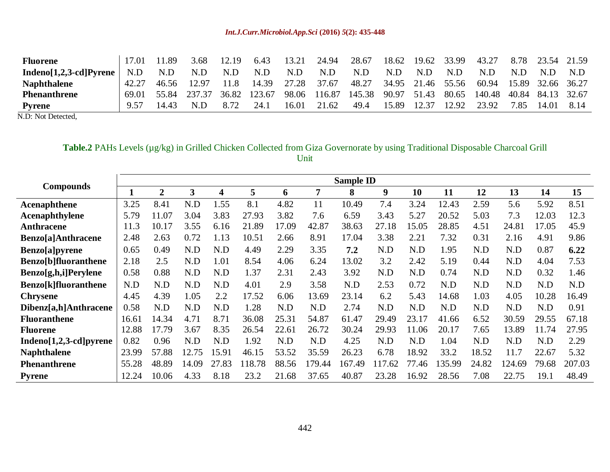#### *Int.J.Curr.Microbiol.App.Sci* **(2016)** *5***(2): 435-448**

| <b>Fluorene</b>                | 17.01 | 1.89  | 3.68   | 12.19 | 6.43   | 13.21 | 24.94  | 28.67  | 18.62 |             | 19.62 33.99 | 43.27  | 8.78  | 23.54 21.59 |     |
|--------------------------------|-------|-------|--------|-------|--------|-------|--------|--------|-------|-------------|-------------|--------|-------|-------------|-----|
| Indeno[1,2,3-cd]Pyrene $\vert$ | N.D   | N.D   | N.D    | N.D   | N.D    | N.D   | N.D    | N.D    | N.D   | N.D         | N.D         | N.D    | N.D   |             | N.D |
| <b>Naphthalene</b>             | 42.27 | 46.56 | 12 Q7  |       | 14.39  | 27.28 | 37.67  | 48.27  | 34.95 | 21.46 55.56 |             | 60.94  | 15.89 | 32.66 36.27 |     |
| <b>Phenanthrene</b>            | 69.01 | 55.84 | 237.37 | 36.82 | 123.67 | 98.06 | 116.87 | 145.38 | 90.97 | 51.43       | 80.65       | 140.48 | 40.84 | 84.13 32.67 |     |
| <b>Pyrene</b>                  | 9.57  |       |        |       | 24.    | 16.01 | 21.62  | 49.4   | 15.89 | 12.37       | 12.92       | 23.92  | 7.85  |             |     |

N.D: Not Detected,

### Table.2 PAHs Levels (µg/kg) in Grilled Chicken Collected from Giza Governorate by using Traditional Disposable Charcoal Grill Unit

|                            |       |                |                |       |        |       |        | <b>Sample ID</b> |       |       |        |       |        |       |        |
|----------------------------|-------|----------------|----------------|-------|--------|-------|--------|------------------|-------|-------|--------|-------|--------|-------|--------|
| <b>Compounds</b>           |       | $\overline{2}$ | $\overline{3}$ | 4     | 5      | 6     | 7      | 8                | 9     | 10    | 11     | 12    | 13     | 14    | 15     |
| Acenaphthene               | 3.25  | 8.41           | N.D            | 1.55  | 8.1    | 4.82  | 11     | 10.49            | 7.4   | 3.24  | 12.43  | 2.59  | 5.6    | 5.92  | 8.51   |
| Acenaphthylene             | 5.79  | 11.07          | 3.04           | 3.83  | 27.93  | 3.82  | 7.6    | 6.59             | 3.43  | 5.27  | 20.52  | 5.03  | 7.3    | 12.03 | 12.3   |
| <b>Anthracene</b>          | 11.3  | 10.17          | 3.55           | 6.16  | 21.89  | 17.09 | 42.87  | 38.63            | 27.18 | 15.05 | 28.85  | 4.51  | 24.81  | 17.05 | 45.9   |
| <b>Benzo</b> [a]Anthracene | 2.48  | 2.63           | 0.72           | 1.13  | 10.51  | 2.66  | 8.91   | 17.04            | 3.38  | 2.21  | 7.32   | 0.31  | 2.16   | 4.91  | 9.86   |
| <b>Benzo</b> [a]pyrene     | 0.65  | 0.49           | N.D            | N.D   | 4.49   | 2.29  | 3.35   | 7.2              | N.D   | N.D   | 1.95   | N.D   | N.D    | 0.87  | 6.22   |
| Benzo[b]fluoranthene       | 2.18  | 2.5            | N.D            | 1.01  | 8.54   | 4.06  | 6.24   | 13.02            | 3.2   | 2.42  | 5.19   | 0.44  | N.D    | 4.04  | 7.53   |
| Benzo[g,h,i]Perylene       | 0.58  | 0.88           | N.D            | N.D   | 1.37   | 2.31  | 2.43   | 3.92             | N.D   | N.D   | 0.74   | N.D   | N.D    | 0.32  | 1.46   |
| Benzo[k]fluoranthene       | N.D   | N.D            | N.D            | N.D   | 4.01   | 2.9   | 3.58   | N.D              | 2.53  | 0.72  | N.D    | N.D   | N.D    | N.D   | N.D    |
| <b>Chrysene</b>            | 4.45  | 4.39           | 1.05           | 2.2   | 17.52  | 6.06  | 13.69  | 23.14            | 6.2   | 5.43  | 14.68  | 1.03  | 4.05   | 10.28 | 16.49  |
| Dibenz[a,h]Anthracene      | 0.58  | N.D            | N.D            | N.D   | 1.28   | N.D   | N.D    | 2.74             | N.D   | N.D   | N.D    | N.D   | N.D    | N.D   | 0.91   |
| <b>Fluoranthene</b>        | 16.61 | 14.34          | 4.71           | 8.71  | 36.08  | 25.31 | 54.87  | 61.47            | 29.49 | 23.17 | 41.66  | 6.52  | 30.59  | 29.55 | 67.18  |
| <b>Fluorene</b>            | 12.88 | 17.79          | 3.67           | 8.35  | 26.54  | 22.61 | 26.72  | 30.24            | 29.93 | 11.06 | 20.17  | 7.65  | 13.89  | 11.74 | 27.95  |
| $Indeno[1,2,3-cd]pyrene$   | 0.82  | 0.96           | N.D            | N.D   | 1.92   | N.D   | N.D    | 4.25             | N.D   | N.D   | 1.04   | N.D   | N.D    | N.D   | 2.29   |
| <b>Naphthalene</b>         | 23.99 | 57.88          | 12.75          | 15.91 | 46.15  | 53.52 | 35.59  | 26.23            | 6.78  | 18.92 | 33.2   | 18.52 | 11.7   | 22.67 | 5.32   |
| <b>Phenanthrene</b>        | 55.28 | 48.89          | 14.09          | 27.83 | 118.78 | 88.56 | 179.44 | 167.49           | 17.62 | 77.46 | 135.99 | 24.82 | 124.69 | 79.68 | 207.03 |
| <b>Pyrene</b>              | 12.24 | 10.06          | 4.33           | 8.18  | 23.2   | 21.68 | 37.65  | 40.87            | 23.28 | 16.92 | 28.56  | 7.08  | 22.75  | 19.1  | 48.49  |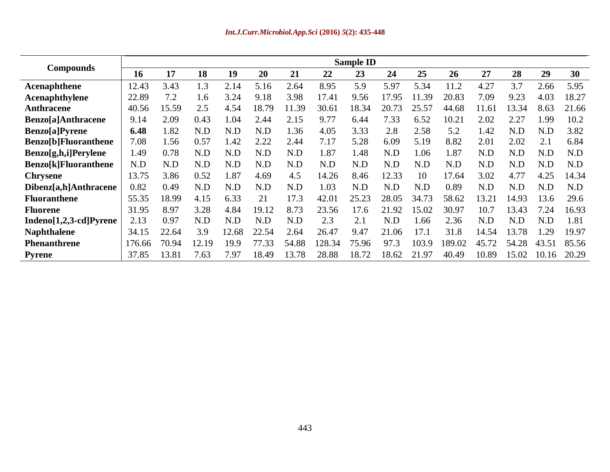|                              |        |       |       |       |       |       |        | <b>Sample ID</b> |       |       |        |       |       |       |       |
|------------------------------|--------|-------|-------|-------|-------|-------|--------|------------------|-------|-------|--------|-------|-------|-------|-------|
| <b>Compounds</b>             | 16     | 17    | 18    | 19    | 20    | 21    | 22     | 23               | 24    | 25    | 26     | 27    | 28    | 29    | 30    |
| Acenaphthene                 | 12.43  | 3.43  | 1.3   | 2.14  | 5.16  | 2.64  | 8.95   | 5.9              | 5.97  | 5.34  | 11.2   | 4.27  | 3.7   | 2.66  | 5.95  |
| Acenaphthylene               | 22.89  | 7.2   | 1.6   | 3.24  | 9.18  | 3.98  | 17.41  | 9.56             | 17.95 | 11.39 | 20.83  | 7.09  | 9.23  | 4.03  | 18.27 |
| <b>Anthracene</b>            | 40.56  | 15.59 | 2.5   | 4.54  | 18.79 | 11.39 | 30.61  | 18.34            | 20.73 | 25.57 | 44.68  | 11.61 | 13.34 | 8.63  | 21.66 |
| Benzo[a]Anthracene           | 9.14   | 2.09  | 0.43  | 1.04  | 2.44  | 2.15  | 9.77   | 6.44             | 7.33  | 6.52  | 10.21  | 2.02  | 2.27  | 1.99  | 10.2  |
| <b>Benzo</b> [a]Pyrene       | 6.48   | 1.82  | N.D   | N.D   | N.D   | 1.36  | 4.05   | 3.33             | 2.8   | 2.58  | 5.2    | 1.42  | N.D   | N.D   | 3.82  |
| <b>Benzo</b> [b]Fluoranthene | 7.08   | 1.56  | 0.57  | 1.42  | 2.22  | 2.44  | 7.17   | 5.28             | 6.09  | 5.19  | 8.82   | 2.01  | 2.02  | 2.1   | 6.84  |
| Benzo[g,h,i]Perylene         | 1.49   | 0.78  | N.D   | N.D   | N.D   | N.D   | 1.87   | 1.48             | N.D   | 1.06  | 1.87   | N.D   | N.D   | N.D   | N.D   |
| <b>Benzo</b> [k]Fluoranthene | N.D    | N.D   | N.D   | N.D   | N.D   | N.D   | N.D    | N.D              | N.D   | N.D   | N.D    | N.D   | N.D   | N.D   | N.D   |
| <b>Chrysene</b>              | 13.75  | 3.86  | 0.52  | 1.87  | 4.69  | 4.5   | 14.26  | 8.46             | 12.33 | 10    | 17.64  | 3.02  | 4.77  | 4.25  | 14.34 |
| Dibenz[a,h]Anthracene        | 0.82   | 0.49  | N.D   | N.D   | N.D   | N.D   | 1.03   | N.D              | N.D   | N.D   | 0.89   | N.D   | N.D   | N.D   | N.D   |
| <b>Fluoranthene</b>          | 55.35  | 18.99 | 4.15  | 6.33  | 21    | 17.3  | 42.01  | 25.23            | 28.05 | 34.73 | 58.62  | 13.21 | 14.93 | 13.6  | 29.6  |
| <b>Fluorene</b>              | 31.95  | 8.97  | 3.28  | 4.84  | 19.12 | 8.73  | 23.56  | 17.6             | 21.92 | 15.02 | 30.97  | 10.7  | 13.43 | 7.24  | 16.93 |
| Indeno[1,2,3-cd]Pyrene       | 2.13   | 0.97  | N.D   | N.D   | N.D   | N.D   | 2.3    | 2.1              | N.D   | 1.66  | 2.36   | N.D   | N.D   | N.D   | 1.81  |
| <b>Naphthalene</b>           | 34.15  | 22.64 | 3.9   | 12.68 | 22.54 | 2.64  | 26.47  | 9.47             | 21.06 | 17.1  | 31.8   | 14.54 | 13.78 | 1.29  | 19.97 |
| <b>Phenanthrene</b>          | 176.66 | 70.94 | 12.19 | 19.9  | 77.33 | 54.88 | 128.34 | 75.96            | 97.3  | 103.9 | 189.02 | 45.72 | 54.28 | 43.51 | 85.56 |
| <b>Pyrene</b>                | 37.85  | 13.81 | 7.63  | 7.97  | 18.49 | 13.78 | 28.88  | 18.72            | 18.62 | 21.97 | 40.49  | 10.89 | 15.02 | 10.16 | 20.29 |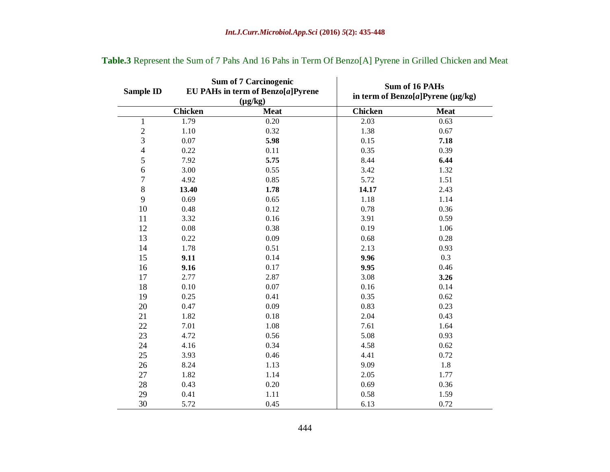| <b>Sample ID</b> |                | <b>Sum of 7 Carcinogenic</b><br>EU PAHs in term of Benzo[a]Pyrene<br>$(\mu g/kg)$ |                | Sum of 16 PAHs<br>in term of Benzo[a]Pyrene ( $\mu$ g/kg) |
|------------------|----------------|-----------------------------------------------------------------------------------|----------------|-----------------------------------------------------------|
|                  | <b>Chicken</b> | <b>Meat</b>                                                                       | <b>Chicken</b> | <b>Meat</b>                                               |
| $\mathbf{1}$     | 1.79           | 0.20                                                                              | 2.03           | 0.63                                                      |
| $\overline{c}$   | 1.10           | 0.32                                                                              | 1.38           | 0.67                                                      |
| 3                | 0.07           | 5.98                                                                              | 0.15           | 7.18                                                      |
| $\overline{4}$   | 0.22           | 0.11                                                                              | 0.35           | 0.39                                                      |
| 5                | 7.92           | 5.75                                                                              | 8.44           | 6.44                                                      |
| 6                | 3.00           | 0.55                                                                              | 3.42           | 1.32                                                      |
| $\overline{7}$   | 4.92           | 0.85                                                                              | 5.72           | 1.51                                                      |
| 8                | 13.40          | 1.78                                                                              | 14.17          | 2.43                                                      |
| 9                | 0.69           | 0.65                                                                              | 1.18           | 1.14                                                      |
| 10               | 0.48           | 0.12                                                                              | 0.78           | 0.36                                                      |
| 11               | 3.32           | 0.16                                                                              | 3.91           | 0.59                                                      |
| 12               | 0.08           | 0.38                                                                              | 0.19           | 1.06                                                      |
| 13               | 0.22           | 0.09                                                                              | 0.68           | 0.28                                                      |
| 14               | 1.78           | 0.51                                                                              | 2.13           | 0.93                                                      |
| 15               | 9.11           | 0.14                                                                              | 9.96           | 0.3                                                       |
| 16               | 9.16           | 0.17                                                                              | 9.95           | 0.46                                                      |
| 17               | 2.77           | 2.87                                                                              | 3.08           | 3.26                                                      |
| 18               | 0.10           | 0.07                                                                              | 0.16           | 0.14                                                      |
| 19               | 0.25           | 0.41                                                                              | 0.35           | 0.62                                                      |
| 20               | 0.47           | 0.09                                                                              | 0.83           | 0.23                                                      |
| 21               | 1.82           | 0.18                                                                              | 2.04           | 0.43                                                      |
| 22               | 7.01           | 1.08                                                                              | 7.61           | 1.64                                                      |
| 23               | 4.72           | 0.56                                                                              | 5.08           | 0.93                                                      |
| 24               | 4.16           | 0.34                                                                              | 4.58           | 0.62                                                      |
| 25               | 3.93           | 0.46                                                                              | 4.41           | 0.72                                                      |
| 26               | 8.24           | 1.13                                                                              | 9.09           | 1.8                                                       |
| 27               | 1.82           | 1.14                                                                              | 2.05           | 1.77                                                      |
| 28               | 0.43           | 0.20                                                                              | 0.69           | 0.36                                                      |
| 29               | 0.41           | 1.11                                                                              | 0.58           | 1.59                                                      |
| 30               | 5.72           | 0.45                                                                              | 6.13           | 0.72                                                      |

**Table.3** Represent the Sum of 7 Pahs And 16 Pahs in Term Of Benzo[A] Pyrene in Grilled Chicken and Meat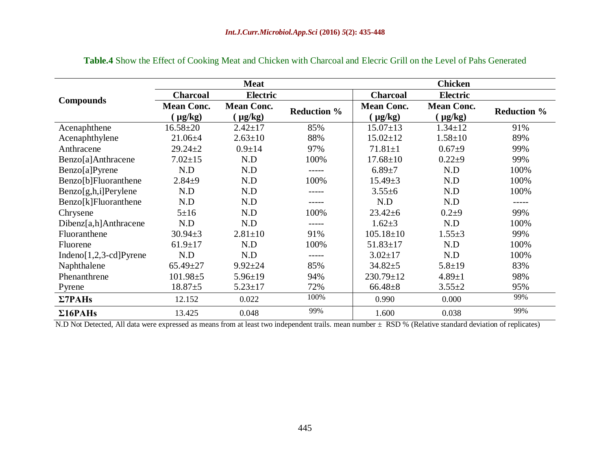|                            |                                   | <b>Meat</b>                      |                    |                                  | <b>Chicken</b>                   |                    |
|----------------------------|-----------------------------------|----------------------------------|--------------------|----------------------------------|----------------------------------|--------------------|
|                            | <b>Charcoal</b>                   | <b>Electric</b>                  |                    | <b>Charcoal</b>                  | <b>Electric</b>                  |                    |
| <b>Compounds</b>           | <b>Mean Conc.</b><br>$(\mu g/kg)$ | <b>Mean Conc.</b><br>$\mu$ g/kg) | <b>Reduction %</b> | <b>Mean Conc.</b><br>$\mu$ g/kg) | <b>Mean Conc.</b><br>$\mu$ g/kg) | <b>Reduction %</b> |
| Acenaphthene               | $16.58 \pm 20$                    | $2.42 \pm 17$                    | 85%                | $15.07 \pm 13$                   | $1.34 \pm 12$                    | 91%                |
| Acenaphthylene             | $21.06 \pm 4$                     | $2.63 \pm 10$                    | 88%                | $15.02 \pm 12$                   | $1.58 \pm 10$                    | 89%                |
| Anthracene                 | $29.24 \pm 2$                     | $0.9 \pm 14$                     | 97%                | $71.81 \pm 1$                    | $0.67 + 9$                       | 99%                |
| Benzo[a]Anthracene         | $7.02 \pm 15$                     | N.D                              | 100%               | $17.68 \pm 10$                   | $0.22 + 9$                       | 99%                |
| Benzo[a]Pyrene             | N.D                               | N.D                              | ------             | $6.89 \pm 7$                     | N.D                              | 100%               |
| Benzo[b]Fluoranthene       | $2.84 + 9$                        | N.D                              | 100%               | $15.49 \pm 3$                    | N.D                              | 100%               |
| $Benzo[g,h,i]$ Perylene    | N.D                               | N.D                              |                    | $3.55 \pm 6$                     | N.D                              | 100%               |
| Benzo[k]Fluoranthene       | N.D                               | N.D                              |                    | N.D                              | N.D                              | -----              |
| Chrysene                   | $5 \pm 16$                        | N.D                              | 100%               | $23.42 \pm 6$                    | $0.2 + 9$                        | 99%                |
| Dibenz[a,h]Anthracene      | N.D                               | N.D                              | -----              | $1.62 \pm 3$                     | N.D                              | 100%               |
| Fluoranthene               | $30.94 \pm 3$                     | $2.81 \pm 10$                    | 91%                | $105.18 \pm 10$                  | $1.55 \pm 3$                     | 99%                |
| Fluorene                   | $61.9 \pm 17$                     | N.D                              | 100%               | $51.83 \pm 17$                   | N.D                              | 100%               |
| Indeno $[1,2,3$ -cd]Pyrene | N.D                               | N.D                              | -----              | $3.02 \pm 17$                    | N.D                              | 100%               |
| Naphthalene                | $65.49 \pm 27$                    | $9.92 \pm 24$                    | 85%                | $34.82 \pm 5$                    | $5.8 \pm 19$                     | 83%                |
| Phenanthrene               | $101.98 \pm 5$                    | $5.96 \pm 19$                    | 94%                | $230.79 \pm 12$                  | $4.89 \pm 1$                     | 98%                |
| Pyrene                     | $18.87 + 5$                       | $5.23 \pm 17$                    | 72%                | $66.48 \pm 8$                    | $3.55 \pm 2$                     | 95%                |
| $\Sigma$ 7PAHs             | 12.152                            | 0.022                            | 100%               | 0.990                            | 0.000                            | 99%                |
| $\Sigma16$ PAHs            | 13.425                            | 0.048                            | 99%                | 1.600                            | 0.038                            | 99%                |

N.D Not Detected, All data were expressed as means from at least two independent trails. mean number  $\pm$  RSD % (Relative standard deviation of replicates)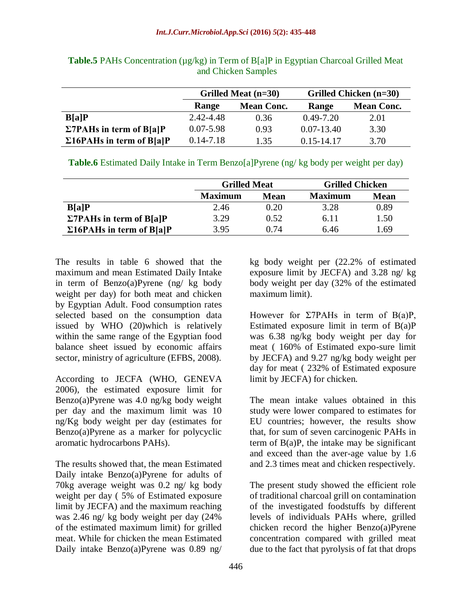|                                  |               | Grilled Meat (n=30) |                | Grilled Chicken (n=30) |
|----------------------------------|---------------|---------------------|----------------|------------------------|
|                                  | Range         | <b>Mean Conc.</b>   | Range          | <b>Mean Conc.</b>      |
| B[a]P                            | 2.42-4.48     | 0.36                | $0.49 - 7.20$  | 2.01                   |
| $\Sigma$ 7PAHs in term of B[a]P  | $0.07 - 5.98$ | 0.93                | $0.07 - 13.40$ | 3.30                   |
| $\Sigma$ 16PAHs in term of B[a]P | $0.14 - 7.18$ | 1.35                | $0.15 - 14.17$ | 3.70                   |

**Table.5** PAHs Concentration (µg/kg) in Term of B[a]P in Egyptian Charcoal Grilled Meat and Chicken Samples

**Table.6** Estimated Daily Intake in Term Benzo[a]Pyrene (ng/ kg body per weight per day)

|                                  | <b>Grilled Meat</b> |      | <b>Grilled Chicken</b> |             |  |  |
|----------------------------------|---------------------|------|------------------------|-------------|--|--|
|                                  | <b>Maximum</b>      | Mean | <b>Maximum</b>         | <b>Mean</b> |  |  |
| B[a]P                            | 2.46                | 0.20 | 3.28                   | 0.89        |  |  |
| $\Sigma$ 7PAHs in term of B[a]P  | 3.29                | 0.52 | 6.11                   | 1.50        |  |  |
| $\Sigma$ 16PAHs in term of B[a]P | 3.95                | 0.74 | 6.46                   | .69         |  |  |

The results in table 6 showed that the maximum and mean Estimated Daily Intake in term of Benzo(a)Pyrene (ng/ kg body weight per day) for both meat and chicken by Egyptian Adult. Food consumption rates selected based on the consumption data issued by WHO (20)which is relatively within the same range of the Egyptian food balance sheet issued by economic affairs sector, ministry of agriculture (EFBS, 2008).

According to JECFA (WHO, GENEVA 2006), the estimated exposure limit for Benzo(a)Pyrene was 4.0 ng/kg body weight per day and the maximum limit was 10 ng/Kg body weight per day (estimates for Benzo(a)Pyrene as a marker for polycyclic aromatic hydrocarbons PAHs).

The results showed that, the mean Estimated Daily intake Benzo(a)Pyrene for adults of 70kg average weight was 0.2 ng/ kg body weight per day ( 5% of Estimated exposure limit by JECFA) and the maximum reaching was 2.46 ng/ kg body weight per day (24% of the estimated maximum limit) for grilled meat. While for chicken the mean Estimated Daily intake Benzo(a)Pyrene was 0.89 ng/

kg body weight per (22.2% of estimated exposure limit by JECFA) and 3.28 ng/ kg body weight per day (32% of the estimated maximum limit).

However for  $\Sigma$ 7PAHs in term of B(a)P, Estimated exposure limit in term of  $B(a)P$ was 6.38 ng/kg body weight per day for meat ( 160% of Estimated expo-sure limit by JECFA) and 9.27 ng/kg body weight per day for meat ( 232% of Estimated exposure limit by JECFA) for chicken.

The mean intake values obtained in this study were lower compared to estimates for EU countries; however, the results show that, for sum of seven carcinogenic PAHs in term of  $B(a)P$ , the intake may be significant and exceed than the aver-age value by 1.6 and 2.3 times meat and chicken respectively.

The present study showed the efficient role of traditional charcoal grill on contamination of the investigated foodstuffs by different levels of individuals PAHs where, grilled chicken record the higher Benzo(a)Pyrene concentration compared with grilled meat due to the fact that pyrolysis of fat that drops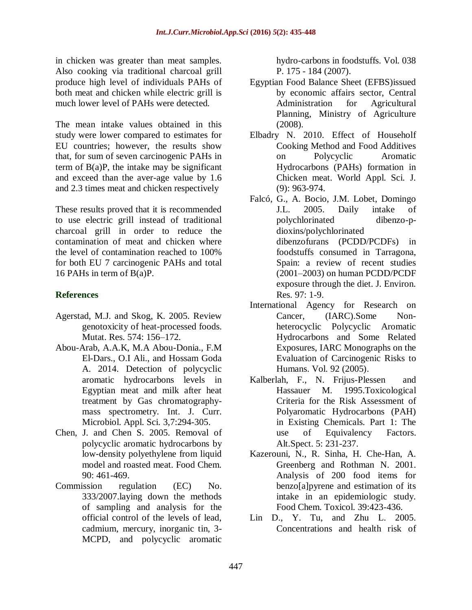in chicken was greater than meat samples. Also cooking via traditional charcoal grill produce high level of individuals PAHs of both meat and chicken while electric grill is much lower level of PAHs were detected.

The mean intake values obtained in this study were lower compared to estimates for EU countries; however, the results show that, for sum of seven carcinogenic PAHs in term of  $B(a)P$ , the intake may be significant and exceed than the aver-age value by 1.6 and 2.3 times meat and chicken respectively

These results proved that it is recommended to use electric grill instead of traditional charcoal grill in order to reduce the contamination of meat and chicken where the level of contamination reached to 100% for both EU 7 carcinogenic PAHs and total 16 PAHs in term of B(a)P.

# **References**

- Agerstad, M.J. and Skog, K. 2005. Review genotoxicity of heat-processed foods. Mutat. Res. 574: 156–172.
- Abou-Arab, A.A.K, M.A Abou-Donia., F.M El-Dars., O.I Ali., and Hossam Goda A. 2014. Detection of polycyclic aromatic hydrocarbons levels in Egyptian meat and milk after heat treatment by Gas chromatographymass spectrometry. Int. J. Curr. Microbiol. Appl. Sci. 3,7:294-305.
- Chen, J. and Chen S. 2005. Removal of polycyclic aromatic hydrocarbons by low-density polyethylene from liquid model and roasted meat. Food Chem. 90: 461-469.
- Commission regulation (EC) No. 333/2007.laying down the methods of sampling and analysis for the official control of the levels of lead, cadmium, mercury, inorganic tin, 3- MCPD, and polycyclic aromatic

hydro-carbons in foodstuffs. Vol. 038 P. 175 - 184 (2007).

- Egyptian Food Balance Sheet (EFBS)issued by economic affairs sector, Central Administration for Agricultural Planning, Ministry of Agriculture (2008).
- Elbadry N. 2010. Effect of Householf Cooking Method and Food Additives on Polycyclic Aromatic Hydrocarbons (PAHs) formation in Chicken meat. World Appl. Sci. J. (9): 963-974.

Falcó, G., A. Bocio, J.M. Lobet, Domingo J.L. 2005. Daily intake of polychlorinated dibenzo-pdioxins/polychlorinated dibenzofurans (PCDD/PCDFs) in foodstuffs consumed in Tarragona, Spain: a review of recent studies (2001–2003) on human PCDD/PCDF exposure through the diet. J. Environ. Res. 97: 1-9.

- International Agency for Research on Cancer, (IARC).Some Nonheterocyclic Polycyclic Aromatic Hydrocarbons and Some Related Exposures, IARC Monographs on the Evaluation of Carcinogenic Risks to Humans. Vol. 92 (2005).
- Kalberlah, F., N. Frijus-Plessen and Hassauer M. 1995.Toxicological Criteria for the Risk Assessment of Polyaromatic Hydrocarbons (PAH) in Existing Chemicals. Part 1: The use of Equivalency Factors. Alt.Spect. 5: 231-237.
- Kazerouni, N., R. Sinha, H. Che-Han, A. Greenberg and Rothman N. 2001. Analysis of 200 food items for benzo[a]pyrene and estimation of its intake in an epidemiologic study. Food Chem. Toxicol. 39:423-436.
- Lin D., Y. Tu, and Zhu L. 2005. Concentrations and health risk of